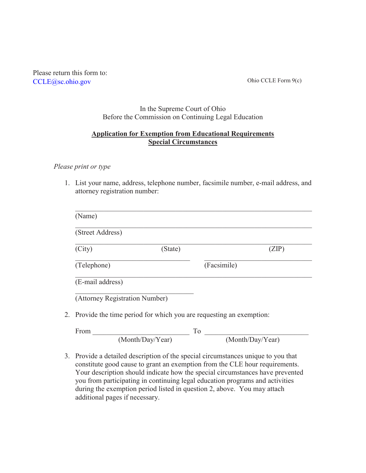Please return this form to: [CCLE@sc.ohio.gov](mailto:CCLE@sc.ohio.gov)

Ohio CCLE Form 9(c)

#### In the Supreme Court of Ohio Before the Commission on Continuing Legal Education

## **Application for Exemption from Educational Requirements Special Circumstances**

### *Please print or type*

1. List your name, address, telephone number, facsimile number, e-mail address, and attorney registration number:

| (Street Address)               |         |             |
|--------------------------------|---------|-------------|
| (City)                         | (State) | (ZIP)       |
| (Telephone)                    |         | (Facsimile) |
| (E-mail address)               |         |             |
| (Attorney Registration Number) |         |             |

| <b>From</b> |                  |  |                  |
|-------------|------------------|--|------------------|
|             | (Month/Day/Year) |  | (Month/Day/Year) |

3. Provide a detailed description of the special circumstances unique to you that constitute good cause to grant an exemption from the CLE hour requirements. Your description should indicate how the special circumstances have prevented you from participating in continuing legal education programs and activities during the exemption period listed in question 2, above. You may attach additional pages if necessary.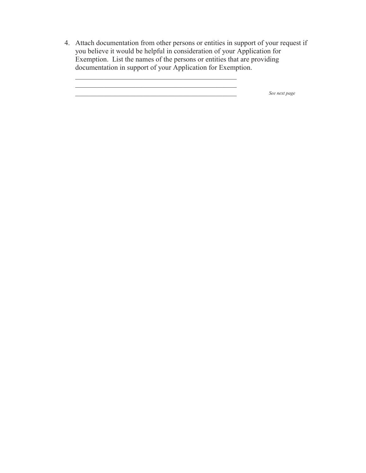4. Attach documentation from other persons or entities in support of your request if you believe it would be helpful in consideration of your Application for Exemption. List the names of the persons or entities that are providing documentation in support of your Application for Exemption.

 $\mathcal{L}_\text{max}$  and  $\mathcal{L}_\text{max}$  and  $\mathcal{L}_\text{max}$  and  $\mathcal{L}_\text{max}$  and  $\mathcal{L}_\text{max}$ 

\_\_\_\_\_\_\_\_\_\_\_\_\_\_\_\_\_\_\_\_\_\_\_\_\_\_\_\_\_\_\_\_\_\_\_\_\_\_\_\_\_\_\_\_\_ *See next page*